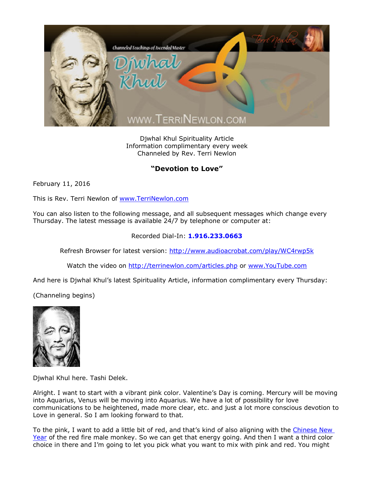

Djwhal Khul Spirituality Article Information complimentary every week Channeled by Rev. Terri Newlon

## **"Devotion to Love"**

February 11, 2016

This is Rev. Terri Newlon of [www.TerriNewlon.com](http://www.terrinewlon.com/)

You can also listen to the following message, and all subsequent messages which change every Thursday. The latest message is available 24/7 by telephone or computer at:

## Recorded Dial-In: **1.916.233.0663**

Refresh Browser for latest version: <http://www.audioacrobat.com/play/WC4rwp5k>

Watch the video on <http://terrinewlon.com/articles.php> or [www.YouTube.com](http://www.youtube.com/)

And here is Djwhal Khul's latest Spirituality Article, information complimentary every Thursday:

(Channeling begins)



Djwhal Khul here. Tashi Delek.

Alright. I want to start with a vibrant pink color. Valentine's Day is coming. Mercury will be moving into Aquarius, Venus will be moving into Aquarius. We have a lot of possibility for love communications to be heightened, made more clear, etc. and just a lot more conscious devotion to Love in general. So I am looking forward to that.

To the pink, I want to add a little bit of red, and that's kind of also aligning with the Chinese New [Year](http://www.terrinewlon.com/audio_downloads.php) of the red fire male monkey. So we can get that energy going. And then I want a third color choice in there and I'm going to let you pick what you want to mix with pink and red. You might